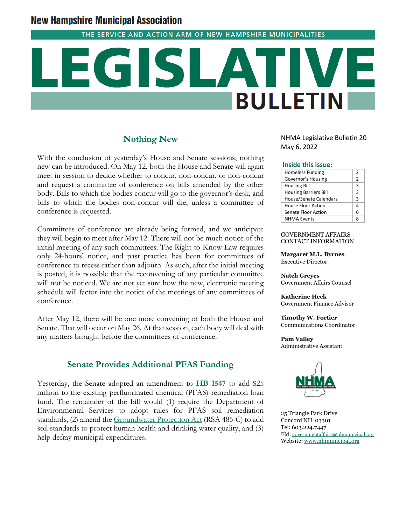# **New Hampshire Municipal Association**

THE SERVICE AND ACTION ARM OF NEW HAMPSHIRE MUNICIPALITIES

# **BULLETIN**

# **Nothing New**

With the conclusion of yesterday's House and Senate sessions, nothing new can be introduced. On May 12, both the House and Senate will again meet in session to decide whether to concur, non-concur, or non-concur and request a committee of conference on bills amended by the other body. Bills to which the bodies concur will go to the governor's desk, and bills to which the bodies non-concur will die, unless a committee of conference is requested.

Committees of conference are already being formed, and we anticipate they will begin to meet after May 12. There will not be much notice of the initial meeting of any such committees. The Right-to-Know Law requires only 24-hours' notice, and past practice has been for committees of conference to recess rather than adjourn. As such, after the initial meeting is posted, it is possible that the reconvening of any particular committee will not be noticed. We are not yet sure how the new, electronic meeting schedule will factor into the notice of the meetings of any committees of conference.

After May 12, there will be one more convening of both the House and Senate. That will occur on May 26. At that session, each body will deal with any matters brought before the committees of conference.

**Senate Provides Additional PFAS Funding**

Yesterday, the Senate adopted an amendment to **[HB 1547](https://nam04.safelinks.protection.outlook.com/?url=http%3A%2F%2Fwww.gencourt.state.nh.us%2Fbill_status%2Fbillinfo.aspx%3Fid%3D1301%26inflect%3D2&data=05%7C01%7C%7Cbde908ffc46e4fe1db4d08da2ea535a7%7C26291d41fe344e6ba3102f5bdf84590c%7C0%7C0%7C637873584343058319%7CUnknown%7CTWFpbGZsb3d8eyJWIjoiMC4wLjAwMDAiLCJQIjoiV2luMzIiLCJBTiI6Ik1haWwiLCJXVCI6Mn0%3D%7C3000%7C%7C%7C&sdata=VnmT9RRoO2ea2xVO0wOwb4o1ZPsqDBMtcJtZwZWR5AM%3D&reserved=0)** to add \$25 million to the existing perfluorinated chemical (PFAS) remediation loan fund. The remainder of the bill would (1) require the Department of Environmental Services to adopt rules for PFAS soil remediation standards, (2) amend th[e Groundwater Protection Act](https://www.des.nh.gov/sites/g/files/ehbemt341/files/documents/2020-01/dwgb-22-1.pdf) (RSA 485-C) to add soil standards to protect human health and drinking water quality, and (3) help defray municipal expenditures.

NHMA Legislative Bulletin 20 May 6, 2022

### **Inside this issue:**

| <b>Homeless Funding</b>       | 2 |
|-------------------------------|---|
| Governor's Housing            | 2 |
| <b>Housing Bill</b>           | 3 |
| <b>Housing Barriers Bill</b>  | 3 |
| <b>House/Senate Calendars</b> | 3 |
| House Floor Action            | Δ |
| Senate Floor Action           | 6 |
| <b>NHMA Events</b>            | Զ |

### GOVERNMENT AFFAIRS CONTACT INFORMATION

**Margaret M.L. Byrnes** Executive Director

**Natch Greyes** Government Affairs Counsel

**Katherine Heck** Government Finance Advisor

**Timothy W. Fortier** Communications Coordinator

**Pam Valley** Administrative Assistant



25 Triangle Park Drive Concord NH 03301 Tel: 603.224.7447 EM: [governmentaffairs@nhmunicipal.org](mailto:governmentaffairs@nhmunicipal.org) Website: [www.nhmunicipal.org](http://www.nhmunicipal.org/)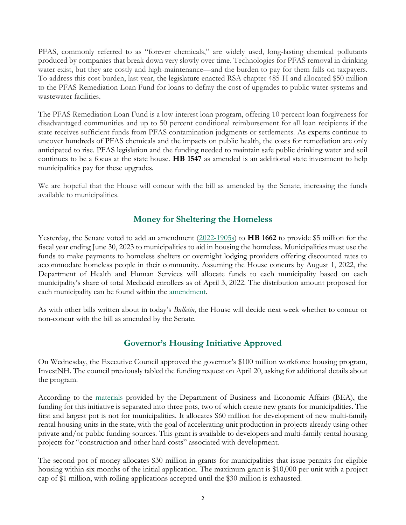PFAS, commonly referred to as "forever chemicals," are widely used, long-lasting chemical pollutants produced by companies that break down very slowly over time. Technologies for PFAS removal in drinking water exist, but they are costly and high-maintenance—and the burden to pay for them falls on taxpayers. To address this cost burden, last year, the legislature enacted RSA chapter 485-H and allocated \$50 million to the PFAS Remediation Loan Fund for loans to defray the cost of upgrades to public water systems and wastewater facilities.

The PFAS Remediation Loan Fund is a low-interest loan program, offering 10 percent loan forgiveness for disadvantaged communities and up to 50 percent conditional reimbursement for all loan recipients if the state receives sufficient funds from PFAS contamination judgments or settlements. As experts continue to uncover hundreds of PFAS chemicals and the impacts on public health, the costs for remediation are only anticipated to rise. PFAS legislation and the funding needed to maintain safe public drinking water and soil continues to be a focus at the state house. **HB 1547** as amended is an additional state investment to help municipalities pay for these upgrades.

We are hopeful that the House will concur with the bill as amended by the Senate, increasing the funds available to municipalities.

# **Money for Sheltering the Homeless**

Yesterday, the Senate voted to add an amendment [\(2022-1905s\)](http://www.gencourt.state.nh.us/bill_status/pdf.aspx?id=35639&q=amendment) to **HB 1662** to provide \$5 million for the fiscal year ending June 30, 2023 to municipalities to aid in housing the homeless. Municipalities must use the funds to make payments to homeless shelters or overnight lodging providers offering discounted rates to accommodate homeless people in their community. Assuming the House concurs by August 1, 2022, the Department of Health and Human Services will allocate funds to each municipality based on each municipality's share of total Medicaid enrollees as of April 3, 2022. The distribution amount proposed for each municipality can be found within the [amendment.](http://www.gencourt.state.nh.us/bill_status/pdf.aspx?id=35639&q=amendment)

As with other bills written about in today's *Bulletin*, the House will decide next week whether to concur or non-concur with the bill as amended by the Senate.

### **Governor's Housing Initiative Approved**

On Wednesday, the Executive Council approved the governor's \$100 million workforce housing program, InvestNH. The council previously tabled the funding request on April 20, asking for additional details about the program.

According to the [materials](https://www.governor.nh.gov/sites/g/files/ehbemt336/files/documents/20220420-invest-nh-summary.pdf) provided by the Department of Business and Economic Affairs (BEA), the funding for this initiative is separated into three pots, two of which create new grants for municipalities. The first and largest pot is not for municipalities. It allocates \$60 million for development of new multi-family rental housing units in the state, with the goal of accelerating unit production in projects already using other private and/or public funding sources. This grant is available to developers and multi-family rental housing projects for "construction and other hard costs" associated with development.

The second pot of money allocates \$30 million in grants for municipalities that issue permits for eligible housing within six months of the initial application. The maximum grant is \$10,000 per unit with a project cap of \$1 million, with rolling applications accepted until the \$30 million is exhausted.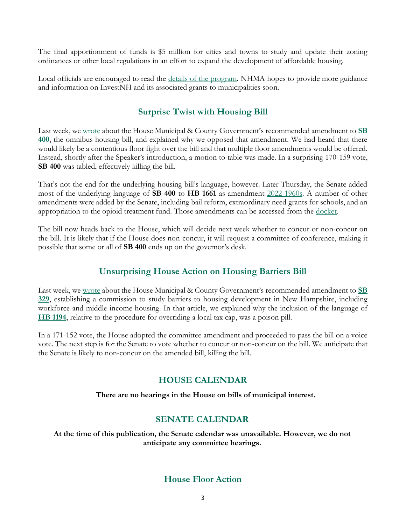The final apportionment of funds is \$5 million for cities and towns to study and update their zoning ordinances or other local regulations in an effort to expand the development of affordable housing.

Local officials are encouraged to read the [details of the program.](https://www.governor.nh.gov/sites/g/files/ehbemt336/files/documents/20220420-invest-nh-summary.pdf) NHMA hopes to provide more guidance and information on InvestNH and its associated grants to municipalities soon.

## **Surprise Twist with Housing Bill**

Last week, we [wrote](https://www.nhmunicipal.org/legislative-bulletin/2022-nhma-legislative-bulletin-19#27999) about the House Municipal & County Government's recommended amendment to **[SB](http://www.gencourt.state.nh.us/bill_status/pdf.aspx?id=33314&q=billVersion)  [400](http://www.gencourt.state.nh.us/bill_status/pdf.aspx?id=33314&q=billVersion)**, the omnibus housing bill, and explained why we opposed that amendment. We had heard that there would likely be a contentious floor fight over the bill and that multiple floor amendments would be offered. Instead, shortly after the Speaker's introduction, a motion to table was made. In a surprising 170-159 vote, **SB 400** was tabled, effectively killing the bill.

That's not the end for the underlying housing bill's language, however. Later Thursday, the Senate added most of the underlying language of **SB 400** to **HB 1661** as amendment [2022-1960s.](http://www.gencourt.state.nh.us/bill_status/pdf.aspx?id=35860&q=amendment) A number of other amendments were added by the Senate, including bail reform, extraordinary need grants for schools, and an appropriation to the opioid treatment fund. Those amendments can be accessed from the [docket.](http://www.gencourt.state.nh.us/bill_status/billinfo.aspx?id=1606&inflect=2)

The bill now heads back to the House, which will decide next week whether to concur or non-concur on the bill. It is likely that if the House does non-concur, it will request a committee of conference, making it possible that some or all of **SB 400** ends up on the governor's desk.

### **Unsurprising House Action on Housing Barriers Bill**

Last week, we [wrote](https://www.nhmunicipal.org/legislative-bulletin/2022-nhma-legislative-bulletin-19) about the House Municipal & County Government's recommended amendment to **[SB](http://www.gencourt.state.nh.us/bill_status/pdf.aspx?id=31213&q=billVersion)  [329](http://www.gencourt.state.nh.us/bill_status/pdf.aspx?id=31213&q=billVersion)**, establishing a commission to study barriers to housing development in New Hampshire, including workforce and middle-income housing. In that article, we explained why the inclusion of the language of **[HB 1194](http://www.gencourt.state.nh.us/bill_status/pdf.aspx?id=27492&q=billVersion)**, relative to the procedure for overriding a local tax cap, was a poison pill.

In a 171-152 vote, the House adopted the committee amendment and proceeded to pass the bill on a voice vote. The next step is for the Senate to vote whether to concur or non-concur on the bill. We anticipate that the Senate is likely to non-concur on the amended bill, killing the bill.

### **HOUSE CALENDAR**

**There are no hearings in the House on bills of municipal interest.**

### **SENATE CALENDAR**

**At the time of this publication, the Senate calendar was unavailable. However, we do not anticipate any committee hearings.**

### **House Floor Action**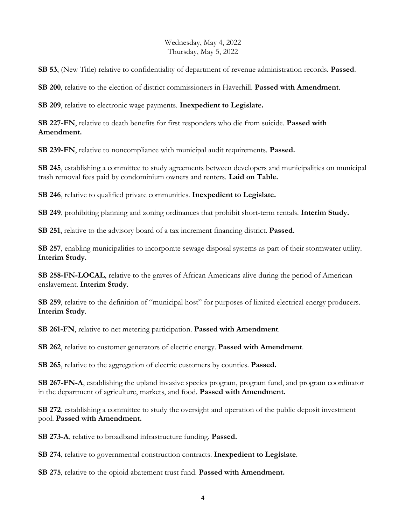### Wednesday, May 4, 2022 Thursday, May 5, 2022

**SB 53**, (New Title) relative to confidentiality of department of revenue administration records. **Passed**.

**SB 200**, relative to the election of district commissioners in Haverhill. **Passed with Amendment**.

**SB 209**, relative to electronic wage payments. **Inexpedient to Legislate.**

**SB 227-FN**, relative to death benefits for first responders who die from suicide. **Passed with Amendment.**

**SB 239-FN**, relative to noncompliance with municipal audit requirements. **Passed.**

**SB 245**, establishing a committee to study agreements between developers and municipalities on municipal trash removal fees paid by condominium owners and renters. **Laid on Table.**

**SB 246**, relative to qualified private communities. **Inexpedient to Legislate.**

**SB 249**, prohibiting planning and zoning ordinances that prohibit short-term rentals. **Interim Study.**

**SB 251**, relative to the advisory board of a tax increment financing district. **Passed.**

**SB 257**, enabling municipalities to incorporate sewage disposal systems as part of their stormwater utility. **Interim Study.**

**SB 258-FN-LOCAL**, relative to the graves of African Americans alive during the period of American enslavement. **Interim Study**.

**SB 259**, relative to the definition of "municipal host" for purposes of limited electrical energy producers. **Interim Study**.

**SB 261-FN**, relative to net metering participation. **Passed with Amendment**.

**SB 262**, relative to customer generators of electric energy. **Passed with Amendment**.

**SB 265**, relative to the aggregation of electric customers by counties. **Passed.**

**SB 267-FN-A**, establishing the upland invasive species program, program fund, and program coordinator in the department of agriculture, markets, and food. **Passed with Amendment.**

**SB 272**, establishing a committee to study the oversight and operation of the public deposit investment pool. **Passed with Amendment.**

**SB 273-A**, relative to broadband infrastructure funding. **Passed.**

**SB 274**, relative to governmental construction contracts. **Inexpedient to Legislate**.

**SB 275**, relative to the opioid abatement trust fund. **Passed with Amendment.**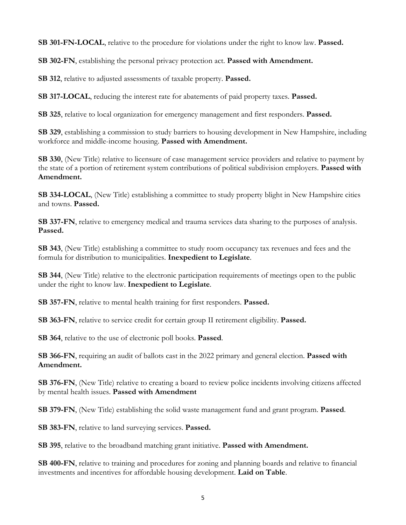**SB 301-FN-LOCAL**, relative to the procedure for violations under the right to know law. **Passed.**

**SB 302-FN**, establishing the personal privacy protection act. **Passed with Amendment.**

**SB 312**, relative to adjusted assessments of taxable property. **Passed.**

**SB 317-LOCAL**, reducing the interest rate for abatements of paid property taxes. **Passed.**

**SB 325**, relative to local organization for emergency management and first responders. **Passed.**

**SB 329**, establishing a commission to study barriers to housing development in New Hampshire, including workforce and middle-income housing. **Passed with Amendment.**

**SB 330**, (New Title) relative to licensure of case management service providers and relative to payment by the state of a portion of retirement system contributions of political subdivision employers. **Passed with Amendment.**

**SB 334-LOCAL**, (New Title) establishing a committee to study property blight in New Hampshire cities and towns. **Passed.**

**SB 337-FN**, relative to emergency medical and trauma services data sharing to the purposes of analysis. **Passed.**

**SB 343**, (New Title) establishing a committee to study room occupancy tax revenues and fees and the formula for distribution to municipalities. **Inexpedient to Legislate**.

**SB 344**, (New Title) relative to the electronic participation requirements of meetings open to the public under the right to know law. **Inexpedient to Legislate**.

**SB 357-FN**, relative to mental health training for first responders. **Passed.**

**SB 363-FN**, relative to service credit for certain group II retirement eligibility. **Passed.**

**SB 364**, relative to the use of electronic poll books. **Passed**.

**SB 366-FN**, requiring an audit of ballots cast in the 2022 primary and general election. **Passed with Amendment.**

**SB 376-FN**, (New Title) relative to creating a board to review police incidents involving citizens affected by mental health issues. **Passed with Amendment**

**SB 379-FN**, (New Title) establishing the solid waste management fund and grant program. **Passed**.

**SB 383-FN**, relative to land surveying services. **Passed.**

**SB 395**, relative to the broadband matching grant initiative. **Passed with Amendment.**

**SB 400-FN**, relative to training and procedures for zoning and planning boards and relative to financial investments and incentives for affordable housing development. **Laid on Table**.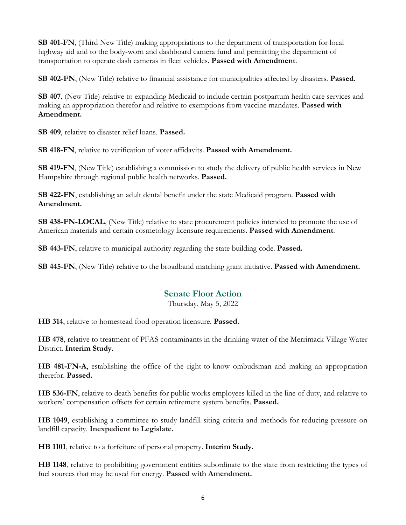**SB 401-FN**, (Third New Title) making appropriations to the department of transportation for local highway aid and to the body-worn and dashboard camera fund and permitting the department of transportation to operate dash cameras in fleet vehicles. **Passed with Amendment**.

**SB 402-FN**, (New Title) relative to financial assistance for municipalities affected by disasters. **Passed**.

**SB 407**, (New Title) relative to expanding Medicaid to include certain postpartum health care services and making an appropriation therefor and relative to exemptions from vaccine mandates. **Passed with Amendment.**

**SB 409**, relative to disaster relief loans. **Passed.**

**SB 418-FN**, relative to verification of voter affidavits. **Passed with Amendment.**

**SB 419-FN**, (New Title) establishing a commission to study the delivery of public health services in New Hampshire through regional public health networks. **Passed.**

**SB 422-FN**, establishing an adult dental benefit under the state Medicaid program. **Passed with Amendment.**

**SB 438-FN-LOCAL**, (New Title) relative to state procurement policies intended to promote the use of American materials and certain cosmetology licensure requirements. **Passed with Amendment**.

**SB 443-FN**, relative to municipal authority regarding the state building code. **Passed.**

**SB 445-FN**, (New Title) relative to the broadband matching grant initiative. **Passed with Amendment.**

### **Senate Floor Action**

Thursday, May 5, 2022

**HB 314**, relative to homestead food operation licensure. **Passed.**

**HB 478**, relative to treatment of PFAS contaminants in the drinking water of the Merrimack Village Water District. **Interim Study.**

**HB 481-FN-A**, establishing the office of the right-to-know ombudsman and making an appropriation therefor. **Passed.**

**HB 536-FN**, relative to death benefits for public works employees killed in the line of duty, and relative to workers' compensation offsets for certain retirement system benefits. **Passed.**

**HB 1049**, establishing a committee to study landfill siting criteria and methods for reducing pressure on landfill capacity. **Inexpedient to Legislate.**

**HB 1101**, relative to a forfeiture of personal property. **Interim Study.**

**HB 1148**, relative to prohibiting government entities subordinate to the state from restricting the types of fuel sources that may be used for energy. **Passed with Amendment.**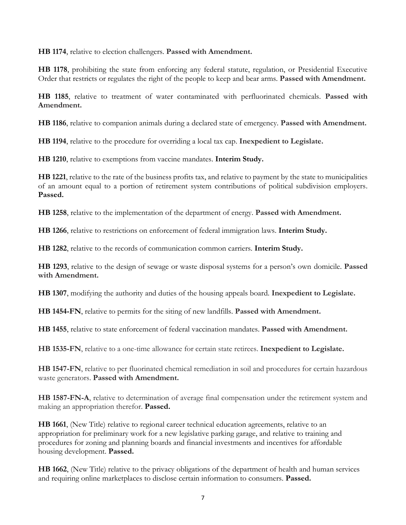**HB 1174**, relative to election challengers. **Passed with Amendment.**

**HB 1178**, prohibiting the state from enforcing any federal statute, regulation, or Presidential Executive Order that restricts or regulates the right of the people to keep and bear arms. **Passed with Amendment.**

**HB 1185**, relative to treatment of water contaminated with perfluorinated chemicals. **Passed with Amendment.**

**HB 1186**, relative to companion animals during a declared state of emergency. **Passed with Amendment.**

**HB 1194**, relative to the procedure for overriding a local tax cap. **Inexpedient to Legislate.**

**HB 1210**, relative to exemptions from vaccine mandates. **Interim Study.**

**HB 1221**, relative to the rate of the business profits tax, and relative to payment by the state to municipalities of an amount equal to a portion of retirement system contributions of political subdivision employers. **Passed.**

**HB 1258**, relative to the implementation of the department of energy. **Passed with Amendment.**

**HB 1266**, relative to restrictions on enforcement of federal immigration laws. **Interim Study.**

**HB 1282**, relative to the records of communication common carriers. **Interim Study.**

**HB 1293**, relative to the design of sewage or waste disposal systems for a person's own domicile. **Passed with Amendment.**

**HB 1307**, modifying the authority and duties of the housing appeals board. **Inexpedient to Legislate.**

**HB 1454-FN**, relative to permits for the siting of new landfills. **Passed with Amendment.**

**HB 1455**, relative to state enforcement of federal vaccination mandates. **Passed with Amendment.**

**HB 1535-FN**, relative to a one-time allowance for certain state retirees. **Inexpedient to Legislate.**

**HB 1547-FN**, relative to per fluorinated chemical remediation in soil and procedures for certain hazardous waste generators. **Passed with Amendment.**

**HB 1587-FN-A**, relative to determination of average final compensation under the retirement system and making an appropriation therefor. **Passed.** 

**HB 1661**, (New Title) relative to regional career technical education agreements, relative to an appropriation for preliminary work for a new legislative parking garage, and relative to training and procedures for zoning and planning boards and financial investments and incentives for affordable housing development. **Passed.**

**HB 1662**, (New Title) relative to the privacy obligations of the department of health and human services and requiring online marketplaces to disclose certain information to consumers. **Passed.**